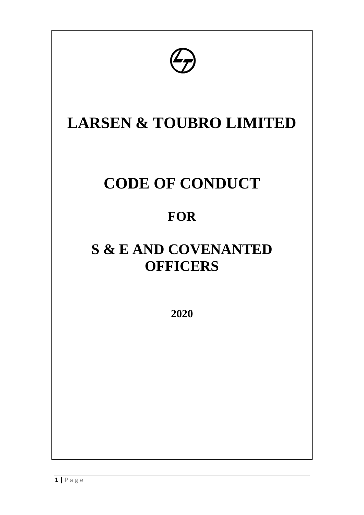

# **LARSEN & TOUBRO LIMITED**

# **CODE OF CONDUCT**

## **FOR**

## **S & E AND COVENANTED OFFICERS**

**2020**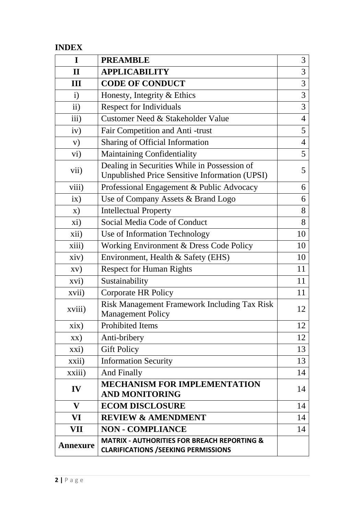## **INDEX**

| I               | <b>PREAMBLE</b>                                                                                       | 3              |  |
|-----------------|-------------------------------------------------------------------------------------------------------|----------------|--|
| $\mathbf{I}$    | <b>APPLICABILITY</b>                                                                                  | 3              |  |
| III             | <b>CODE OF CONDUCT</b>                                                                                |                |  |
| $\mathbf{i}$    | Honesty, Integrity & Ethics                                                                           | 3              |  |
| $\mathbf{ii}$   | <b>Respect for Individuals</b>                                                                        | 3              |  |
| iii)            | Customer Need & Stakeholder Value                                                                     | $\overline{4}$ |  |
| iv)             | Fair Competition and Anti-trust                                                                       | 5              |  |
| V)              | Sharing of Official Information                                                                       | $\overline{4}$ |  |
| vi)             | Maintaining Confidentiality                                                                           | 5              |  |
| vii)            | Dealing in Securities While in Possession of<br><b>Unpublished Price Sensitive Information (UPSI)</b> | 5              |  |
| viii)           | Professional Engagement & Public Advocacy                                                             | 6              |  |
| ix)             | Use of Company Assets & Brand Logo                                                                    | 6              |  |
| $\mathbf{x})$   | <b>Intellectual Property</b>                                                                          | 8              |  |
| xi)             | Social Media Code of Conduct                                                                          | 8              |  |
| xii)            | Use of Information Technology                                                                         | 10             |  |
| xiii)           | Working Environment & Dress Code Policy                                                               | 10             |  |
| xiv)            | Environment, Health & Safety (EHS)                                                                    | 10             |  |
| $\bf{X} \bf{V}$ | <b>Respect for Human Rights</b>                                                                       | 11             |  |
| xvi)            | Sustainability                                                                                        | 11             |  |
| xvii)           | <b>Corporate HR Policy</b>                                                                            | 11             |  |
| xviii)          | Risk Management Framework Including Tax Risk<br><b>Management Policy</b>                              | 12             |  |
| xix)            | <b>Prohibited Items</b>                                                                               | 12             |  |
| XX)             | Anti-bribery                                                                                          | 12             |  |
| xxi)            | <b>Gift Policy</b>                                                                                    | 13             |  |
| xxii)           | <b>Information Security</b>                                                                           | 13             |  |
| xxiii)          | And Finally                                                                                           | 14             |  |
| IV              | <b>MECHANISM FOR IMPLEMENTATION</b><br><b>AND MONITORING</b>                                          | 14             |  |
| $\mathbf{V}$    | <b>ECOM DISCLOSURE</b>                                                                                | 14             |  |
| VI              | <b>REVIEW &amp; AMENDMENT</b>                                                                         | 14             |  |
| <b>VII</b>      | <b>NON - COMPLIANCE</b>                                                                               | 14             |  |
| <b>Annexure</b> | <b>MATRIX - AUTHORITIES FOR BREACH REPORTING &amp;</b><br><b>CLARIFICATIONS / SEEKING PERMISSIONS</b> |                |  |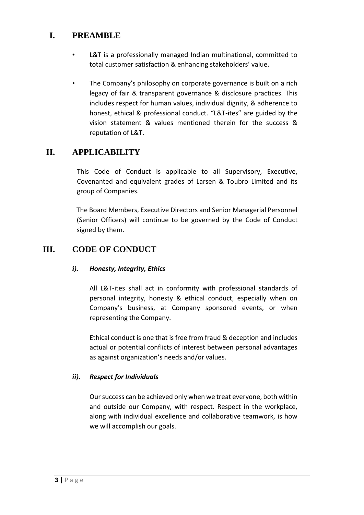## **I. PREAMBLE**

- L&T is a professionally managed Indian multinational, committed to total customer satisfaction & enhancing stakeholders' value.
- The Company's philosophy on corporate governance is built on a rich legacy of fair & transparent governance & disclosure practices. This includes respect for human values, individual dignity, & adherence to honest, ethical & professional conduct. "L&T-ites" are guided by the vision statement & values mentioned therein for the success & reputation of L&T.

## **II. APPLICABILITY**

This Code of Conduct is applicable to all Supervisory, Executive, Covenanted and equivalent grades of Larsen & Toubro Limited and its group of Companies.

The Board Members, Executive Directors and Senior Managerial Personnel (Senior Officers) will continue to be governed by the Code of Conduct signed by them.

## **III. CODE OF CONDUCT**

#### *i). Honesty, Integrity, Ethics*

All L&T-ites shall act in conformity with professional standards of personal integrity, honesty & ethical conduct, especially when on Company's business, at Company sponsored events, or when representing the Company.

Ethical conduct is one that is free from fraud & deception and includes actual or potential conflicts of interest between personal advantages as against organization's needs and/or values.

#### *ii). Respect for Individuals*

Our success can be achieved only when we treat everyone, both within and outside our Company, with respect. Respect in the workplace, along with individual excellence and collaborative teamwork, is how we will accomplish our goals.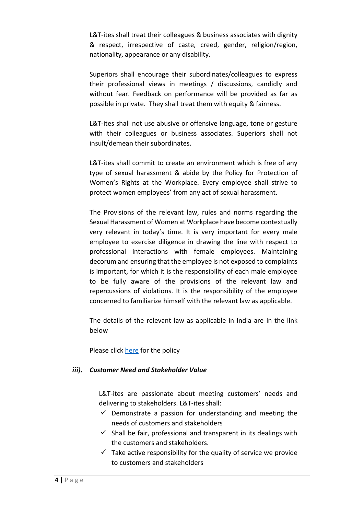L&T-ites shall treat their colleagues & business associates with dignity & respect, irrespective of caste, creed, gender, religion/region, nationality, appearance or any disability.

Superiors shall encourage their subordinates/colleagues to express their professional views in meetings / discussions, candidly and without fear. Feedback on performance will be provided as far as possible in private. They shall treat them with equity & fairness.

L&T-ites shall not use abusive or offensive language, tone or gesture with their colleagues or business associates. Superiors shall not insult/demean their subordinates.

L&T-ites shall commit to create an environment which is free of any type of sexual harassment & abide by the Policy for Protection of Women's Rights at the Workplace. Every employee shall strive to protect women employees' from any act of sexual harassment.

The Provisions of the relevant law, rules and norms regarding the Sexual Harassment of Women at Workplace have become contextually very relevant in today's time. It is very important for every male employee to exercise diligence in drawing the line with respect to professional interactions with female employees. Maintaining decorum and ensuring that the employee is not exposed to complaints is important, for which it is the responsibility of each male employee to be fully aware of the provisions of the relevant law and repercussions of violations. It is the responsibility of the employee concerned to familiarize himself with the relevant law as applicable.

The details of the relevant law as applicable in India are in the link below

Please click [here](https://lntscapenew.ltindia.com/sites/HODepartments/HR/SitePages/HOGeneralPolicies.aspx?RootFolder=%2Fsites%2FHODepartments%2FHR%2FHOHRPolicies%2FPolicy%20for%20Protection%20of%20Women%27s%20Rights%20at%20Workplace&FolderCTID=0x0120D52000CDF95019D0300340B77D421D1E15366B&View=%7B1147A8C6-B266-42FF-ABB9-28A15618B65B%7D) for the policy

#### *iii). Customer Need and Stakeholder Value*

L&T-ites are passionate about meeting customers' needs and delivering to stakeholders. L&T-ites shall:

- $\checkmark$  Demonstrate a passion for understanding and meeting the needs of customers and stakeholders
- $\checkmark$  Shall be fair, professional and transparent in its dealings with the customers and stakeholders.
- $\checkmark$  Take active responsibility for the quality of service we provide to customers and stakeholders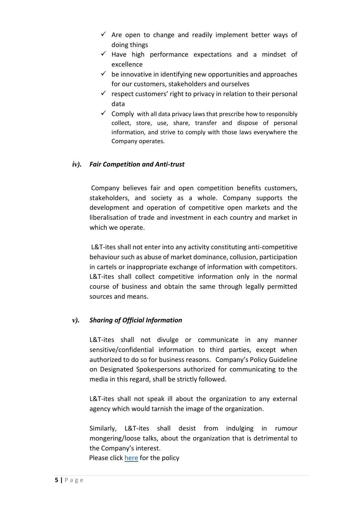- $\checkmark$  Are open to change and readily implement better ways of doing things
- $\checkmark$  Have high performance expectations and a mindset of excellence
- $\checkmark$  be innovative in identifying new opportunities and approaches for our customers, stakeholders and ourselves
- $\checkmark$  respect customers' right to privacy in relation to their personal data
- $\checkmark$  Comply with all data privacy laws that prescribe how to responsibly collect, store, use, share, transfer and dispose of personal information, and strive to comply with those laws everywhere the Company operates.

#### *iv). Fair Competition and Anti-trust*

Company believes fair and open competition benefits customers, stakeholders, and society as a whole. Company supports the development and operation of competitive open markets and the liberalisation of trade and investment in each country and market in which we operate.

L&T-ites shall not enter into any activity constituting anti-competitive behaviour such as abuse of market dominance, collusion, participation in cartels or inappropriate exchange of information with competitors. L&T-ites shall collect competitive information only in the normal course of business and obtain the same through legally permitted sources and means.

#### *v). Sharing of Official Information*

L&T-ites shall not divulge or communicate in any manner sensitive/confidential information to third parties, except when authorized to do so for business reasons. Company's Policy Guideline on Designated Spokespersons authorized for communicating to the media in this regard, shall be strictly followed.

L&T-ites shall not speak ill about the organization to any external agency which would tarnish the image of the organization.

Similarly, L&T-ites shall desist from indulging in rumour mongering/loose talks, about the organization that is detrimental to the Company's interest.

Please clic[k here](https://lntscapenew.ltindia.com/sites/HODepartments/HR/HOHRPolicies/Communication%20Risk%20Management.pdf) for the policy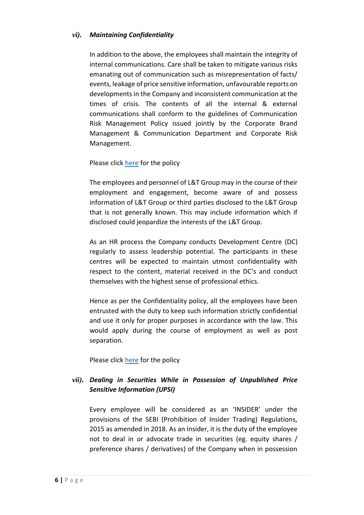#### *vi). Maintaining Confidentiality*

In addition to the above, the employees shall maintain the integrity of internal communications. Care shall be taken to mitigate various risks emanating out of communication such as misrepresentation of facts/ events, leakage of price sensitive information, unfavourable reports on developments in the Company and inconsistent communication at the times of crisis. The contents of all the internal & external communications shall conform to the guidelines of Communication Risk Management Policy issued jointly by the Corporate Brand Management & Communication Department and Corporate Risk Management.

Please click [here](https://lntscapenew.ltindia.com/sites/HODepartments/HR/HOHRPolicies/Confidentiality%20Policy.pdf?d=we97974d8963b4b808306ce68ad59005b&Source=https%3A%2F%2Flntscapenew%2Eltindia%2Ecom%2Fsites%2FHODepartments%2FHR%2FSitePages%2FHOGeneralPolicies%2Easpx) for the policy

The employees and personnel of L&T Group may in the course of their employment and engagement, become aware of and possess information of L&T Group or third parties disclosed to the L&T Group that is not generally known. This may include information which if disclosed could jeopardize the interests of the L&T Group.

As an HR process the Company conducts Development Centre (DC) regularly to assess leadership potential. The participants in these centres will be expected to maintain utmost confidentiality with respect to the content, material received in the DC's and conduct themselves with the highest sense of professional ethics.

Hence as per the Confidentiality policy, all the employees have been entrusted with the duty to keep such information strictly confidential and use it only for proper purposes in accordance with the law. This would apply during the course of employment as well as post separation.

Please click [here](https://lntscapenew.ltindia.com/sites/HODepartments/HR/HOHRPolicies/Communication%20Risk%20Management.pdf) for the policy

### *vii). Dealing in Securities While in Possession of Unpublished Price Sensitive Information (UPSI)*

Every employee will be considered as an 'INSIDER' under the provisions of the SEBI (Prohibition of Insider Trading) Regulations, 2015 as amended in 2018. As an Insider, it is the duty of the employee not to deal in or advocate trade in securities (eg. equity shares / preference shares / derivatives) of the Company when in possession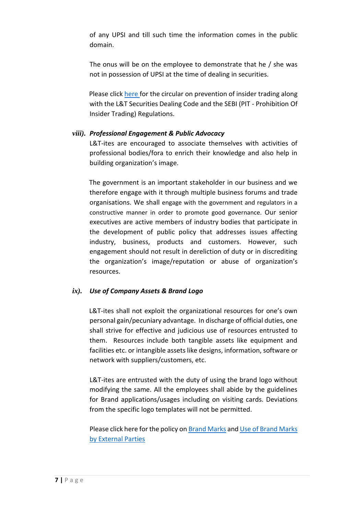of any UPSI and till such time the information comes in the public domain.

The onus will be on the employee to demonstrate that he / she was not in possession of UPSI at the time of dealing in securities.

Please click [here](https://lntscapenew.ltindia.com/sites/HODepartments/HR/_layouts/15/WopiFrame.aspx?sourcedoc=%7b1CF77ECF-BFB6-42D7-8A76-767278A122FB%7d&file=L%26T%20Securities%20Dealing%20Code.pdf&action=default) for the circular on prevention of insider trading along with the L&T Securities Dealing Code and the SEBI (PIT - Prohibition Of Insider Trading) Regulations.

#### *viii). Professional Engagement & Public Advocacy*

L&T-ites are encouraged to associate themselves with activities of professional bodies/fora to enrich their knowledge and also help in building organization's image.

The government is an important stakeholder in our business and we therefore engage with it through multiple business forums and trade organisations. We shall engage with the government and regulators in a constructive manner in order to promote good governance. Our senior executives are active members of industry bodies that participate in the development of public policy that addresses issues affecting industry, business, products and customers. However, such engagement should not result in dereliction of duty or in discrediting the organization's image/reputation or abuse of organization's resources.

#### *ix). Use of Company Assets & Brand Logo*

L&T-ites shall not exploit the organizational resources for one's own personal gain/pecuniary advantage. In discharge of official duties, one shall strive for effective and judicious use of resources entrusted to them. Resources include both tangible assets like equipment and facilities etc. or intangible assets like designs, information, software or network with suppliers/customers, etc.

L&T-ites are entrusted with the duty of using the brand logo without modifying the same. All the employees shall abide by the guidelines for Brand applications/usages including on visiting cards. Deviations from the specific logo templates will not be permitted.

Please click here for the policy o[n Brand Marks](https://lntscapenew.ltindia.com/sites/HODepartments/CBMC/BrandManuals/4%20L%26T%20Brand%20Manual%20-%20Brand%20Marks-.pdf) an[d Use of Brand Marks](https://lntscapenew.ltindia.com/sites/HODepartments/CBMC/BrandManuals/6%20L%26T%20Brand%20Manual%20-%20Use%20of%20Brand%20Mark%20External%20Parties.pdf)  [by External Parties](https://lntscapenew.ltindia.com/sites/HODepartments/CBMC/BrandManuals/6%20L%26T%20Brand%20Manual%20-%20Use%20of%20Brand%20Mark%20External%20Parties.pdf)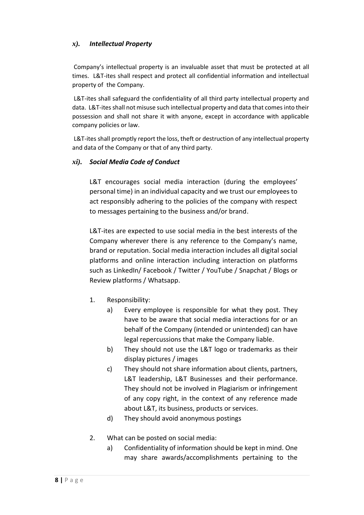#### *x). Intellectual Property*

Company's intellectual property is an invaluable asset that must be protected at all times. L&T-ites shall respect and protect all confidential information and intellectual property of the Company.

L&T-ites shall safeguard the confidentiality of all third party intellectual property and data. L&T-ites shall not misuse such intellectual property and data that comes into their possession and shall not share it with anyone, except in accordance with applicable company policies or law.

L&T-ites shall promptly report the loss, theft or destruction of any intellectual property and data of the Company or that of any third party.

#### *xi). Social Media Code of Conduct*

L&T encourages social media interaction (during the employees' personal time) in an individual capacity and we trust our employees to act responsibly adhering to the policies of the company with respect to messages pertaining to the business and/or brand.

L&T-ites are expected to use social media in the best interests of the Company wherever there is any reference to the Company's name, brand or reputation. Social media interaction includes all digital social platforms and online interaction including interaction on platforms such as LinkedIn/ Facebook / Twitter / YouTube / Snapchat / Blogs or Review platforms / Whatsapp.

- 1. Responsibility:
	- a) Every employee is responsible for what they post. They have to be aware that social media interactions for or an behalf of the Company (intended or unintended) can have legal repercussions that make the Company liable.
	- b) They should not use the L&T logo or trademarks as their display pictures / images
	- c) They should not share information about clients, partners, L&T leadership, L&T Businesses and their performance. They should not be involved in Plagiarism or infringement of any copy right, in the context of any reference made about L&T, its business, products or services.
	- d) They should avoid anonymous postings
- 2. What can be posted on social media:
	- a) Confidentiality of information should be kept in mind. One may share awards/accomplishments pertaining to the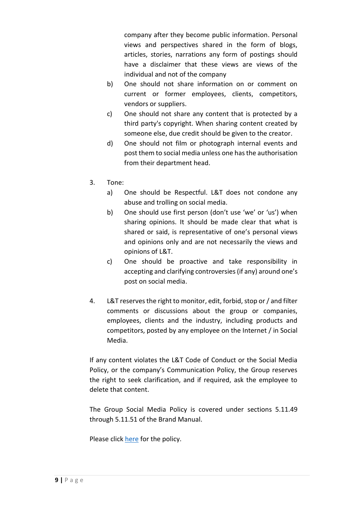company after they become public information. Personal views and perspectives shared in the form of blogs, articles, stories, narrations any form of postings should have a disclaimer that these views are views of the individual and not of the company

- b) One should not share information on or comment on current or former employees, clients, competitors, vendors or suppliers.
- c) One should not share any content that is protected by a third party's copyright. When sharing content created by someone else, due credit should be given to the creator.
- d) One should not film or photograph internal events and post them to social media unless one hasthe authorisation from their department head.
- 3. Tone:
	- a) One should be Respectful. L&T does not condone any abuse and trolling on social media.
	- b) One should use first person (don't use 'we' or 'us') when sharing opinions. It should be made clear that what is shared or said, is representative of one's personal views and opinions only and are not necessarily the views and opinions of L&T.
	- c) One should be proactive and take responsibility in accepting and clarifying controversies(if any) around one's post on social media.
- 4. L&T reserves the right to monitor, edit, forbid, stop or / and filter comments or discussions about the group or companies, employees, clients and the industry, including products and competitors, posted by any employee on the Internet / in Social Media.

If any content violates the L&T Code of Conduct or the Social Media Policy, or the company's Communication Policy, the Group reserves the right to seek clarification, and if required, ask the employee to delete that content.

The Group Social Media Policy is covered under sections 5.11.49 through 5.11.51 of the Brand Manual.

Please click [here](https://lntscapenew.ltindia.com/sites/HODepartments/CBMC/BrandManuals/5-11-1%20L%26T%20Brand%20Manual%20-%20Digital%20Applications.pdf) for the policy.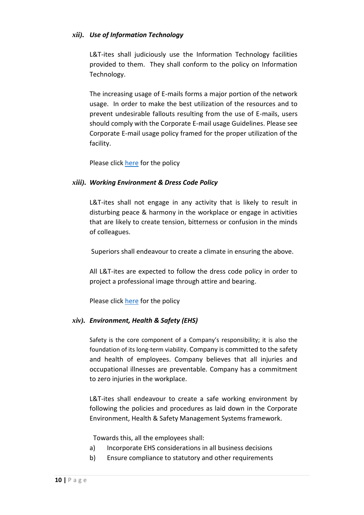#### *xii). Use of Information Technology*

L&T-ites shall judiciously use the Information Technology facilities provided to them. They shall conform to the policy on Information Technology.

The increasing usage of E-mails forms a major portion of the network usage. In order to make the best utilization of the resources and to prevent undesirable fallouts resulting from the use of E-mails, users should comply with the Corporate E-mail usage Guidelines. Please see Corporate E-mail usage policy framed for the proper utilization of the facility.

Please click [here](https://lntscapenew.ltindia.com/sites/HODepartments/Corporate%20IT/DocumentLibrary/ISPolicies/Acceptable%20usage%20Policy%20for%20LT%20-%20Version%202.0.pdf) for the policy

#### *xiii). Working Environment & Dress Code Policy*

L&T-ites shall not engage in any activity that is likely to result in disturbing peace & harmony in the workplace or engage in activities that are likely to create tension, bitterness or confusion in the minds of colleagues.

Superiors shall endeavour to create a climate in ensuring the above.

All L&T-ites are expected to follow the dress code policy in order to project a professional image through attire and bearing.

Please click [here](https://lntscapenew.ltindia.com/sites/HODepartments/HR/HOHRPolicies/Dress%20Code.pdf) for the policy

#### *xiv). Environment, Health & Safety (EHS)*

Safety is the core component of a Company's responsibility; it is also the foundation of its long-term viability. Company is committed to the safety and health of employees. Company believes that all injuries and occupational illnesses are preventable. Company has a commitment to zero injuries in the workplace.

L&T-ites shall endeavour to create a safe working environment by following the policies and procedures as laid down in the Corporate Environment, Health & Safety Management Systems framework.

Towards this, all the employees shall:

- a) Incorporate EHS considerations in all business decisions
- b) Ensure compliance to statutory and other requirements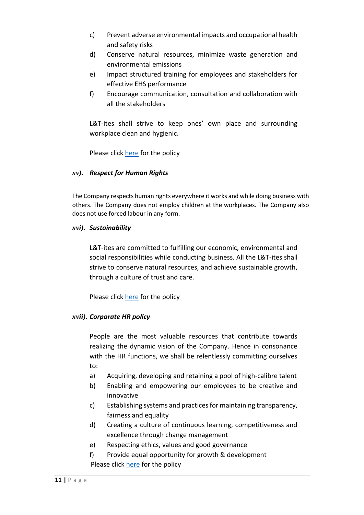- c) Prevent adverse environmental impacts and occupational health and safety risks
- d) Conserve natural resources, minimize waste generation and environmental emissions
- e) Impact structured training for employees and stakeholders for effective EHS performance
- f) Encourage communication, consultation and collaboration with all the stakeholders

L&T-ites shall strive to keep ones' own place and surrounding workplace clean and hygienic.

Please click [here](http://www.larsentoubro.com/corporate/sustainability/corporate-policies/) for the policy

#### *xv). Respect for Human Rights*

The Company respects human rights everywhere it works and while doing business with others. The Company does not employ children at the workplaces. The Company also does not use forced labour in any form.

#### *xvi). Sustainability*

L&T-ites are committed to fulfilling our economic, environmental and social responsibilities while conducting business. All the L&T-ites shall strive to conserve natural resources, and achieve sustainable growth, through a culture of trust and care.

Please click [here](http://www.larsentoubro.com/corporate/sustainability/corporate-policies/) for the policy

#### *xvii). Corporate HR policy*

People are the most valuable resources that contribute towards realizing the dynamic vision of the Company. Hence in consonance with the HR functions, we shall be relentlessly committing ourselves to:

- a) Acquiring, developing and retaining a pool of high-calibre talent
- b) Enabling and empowering our employees to be creative and innovative
- c) Establishing systems and practices for maintaining transparency, fairness and equality
- d) Creating a culture of continuous learning, competitiveness and excellence through change management
- e) Respecting ethics, values and good governance
- f) Provide equal opportunity for growth & development Please click [here](https://www.larsentoubro.com/corporate/sustainability/corporate-policies/) for the policy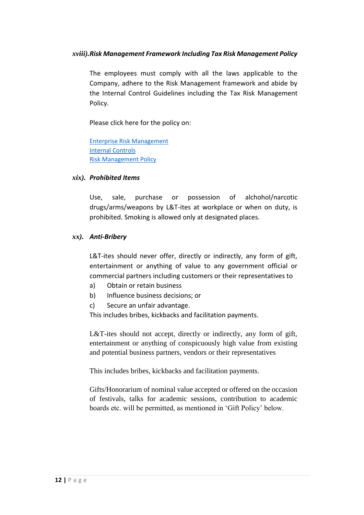#### *xviii).Risk Management Framework Including Tax Risk Management Policy*

The employees must comply with all the laws applicable to the Company, adhere to the Risk Management framework and abide by the Internal Control Guidelines including the Tax Risk Management Policy.

Please click here for the policy on:

[Enterprise Risk Management](https://lntscapenew.ltindia.com/sites/HODepartments/CRM/Risk%20Management%20KS/CRM_Policy/ERM_Policy.pdf) [Internal Controls](https://lntscapenew.ltindia.com/sites/HODepartments/InternalControl/Shared%20Documents/Circular-Corporate%20Policy%20on%20Internal%20Controls.pdf) Risk [Management Policy](https://lntscapenew.ltindia.com/sites/HODepartments/CRM/Risk%20Management%20KS/Corporate%20Functions%20Risk%20Management%20Policy/Tax%20Risk%20Management%20Policy.pdf)

#### *xix). Prohibited Items*

Use, sale, purchase or possession of alchohol/narcotic drugs/arms/weapons by L&T-ites at workplace or when on duty, is prohibited. Smoking is allowed only at designated places.

#### *xx). Anti-Bribery*

L&T-ites should never offer, directly or indirectly, any form of gift, entertainment or anything of value to any government official or commercial partners including customers or their representatives to

- a) Obtain or retain business
- b) Influence business decisions; or
- c) Secure an unfair advantage.

This includes bribes, kickbacks and facilitation payments.

L&T-ites should not accept, directly or indirectly, any form of gift, entertainment or anything of conspicuously high value from existing and potential business partners, vendors or their representatives

This includes bribes, kickbacks and facilitation payments.

Gifts/Honorarium of nominal value accepted or offered on the occasion of festivals, talks for academic sessions, contribution to academic boards etc. will be permitted, as mentioned in 'Gift Policy' below.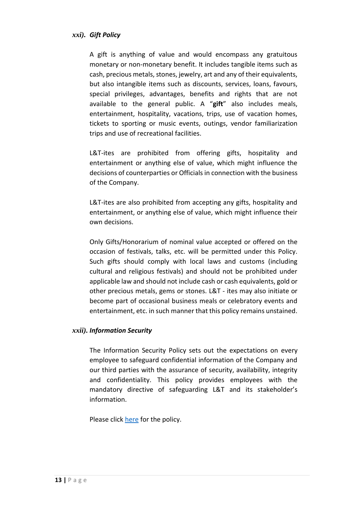#### *xxi). Gift Policy*

A gift is anything of value and would encompass any gratuitous monetary or non-monetary benefit. It includes tangible items such as cash, precious metals, stones, jewelry, art and any of their equivalents, but also intangible items such as discounts, services, loans, favours, special privileges, advantages, benefits and rights that are not available to the general public. A "**gift**" also includes meals, entertainment, hospitality, vacations, trips, use of vacation homes, tickets to sporting or music events, outings, vendor familiarization trips and use of recreational facilities.

L&T-ites are prohibited from offering gifts, hospitality and entertainment or anything else of value, which might influence the decisions of counterparties or Officials in connection with the business of the Company.

L&T-ites are also prohibited from accepting any gifts, hospitality and entertainment, or anything else of value, which might influence their own decisions.

Only Gifts/Honorarium of nominal value accepted or offered on the occasion of festivals, talks, etc. will be permitted under this Policy. Such gifts should comply with local laws and customs (including cultural and religious festivals) and should not be prohibited under applicable law and should not include cash or cash equivalents, gold or other precious metals, gems or stones. L&T - ites may also initiate or become part of occasional business meals or celebratory events and entertainment, etc. in such manner that this policy remains unstained.

#### *xxii). Information Security*

The Information Security Policy sets out the expectations on every employee to safeguard confidential information of the Company and our third parties with the assurance of security, availability, integrity and confidentiality. This policy provides employees with the mandatory directive of safeguarding L&T and its stakeholder's information.

Please click [here](https://lntscapenew.ltindia.com/sites/HODepartments/HR/_layouts/15/WopiFrame.aspx?sourcedoc=%7b2E7795C0-4AF7-4FC6-B33E-272FF1B7EAE2%7d&file=HO%20Information%20Security%20Policy.docx&action=default) for the policy.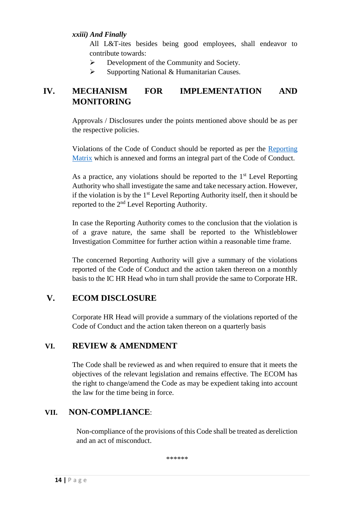#### *xxiii) And Finally*

All L&T-ites besides being good employees, shall endeavor to contribute towards:

- ➢ Development of the Community and Society.
- ➢ Supporting National & Humanitarian Causes.

## **IV. MECHANISM FOR IMPLEMENTATION AND MONITORING**

Approvals / Disclosures under the points mentioned above should be as per the respective policies.

Violations of the Code of Conduct should be reported as per the [Reporting](#page-13-0)  [Matrix](#page-13-0) which is annexed and forms an integral part of the Code of Conduct.

As a practice, any violations should be reported to the  $1<sup>st</sup>$  Level Reporting Authority who shall investigate the same and take necessary action. However, if the violation is by the  $1<sup>st</sup>$  Level Reporting Authority itself, then it should be reported to the 2nd Level Reporting Authority.

In case the Reporting Authority comes to the conclusion that the violation is of a grave nature, the same shall be reported to the Whistleblower Investigation Committee for further action within a reasonable time frame.

The concerned Reporting Authority will give a summary of the violations reported of the Code of Conduct and the action taken thereon on a monthly basis to the IC HR Head who in turn shall provide the same to Corporate HR.

## **V. ECOM DISCLOSURE**

Corporate HR Head will provide a summary of the violations reported of the Code of Conduct and the action taken thereon on a quarterly basis

#### <span id="page-13-0"></span>**VI. REVIEW & AMENDMENT**

The Code shall be reviewed as and when required to ensure that it meets the objectives of the relevant legislation and remains effective. The ECOM has the right to change/amend the Code as may be expedient taking into account the law for the time being in force.

## **VII. NON-COMPLIANCE**:

Non-compliance of the provisions of this Code shall be treated as dereliction and an act of misconduct.

\*\*\*\*\*\*